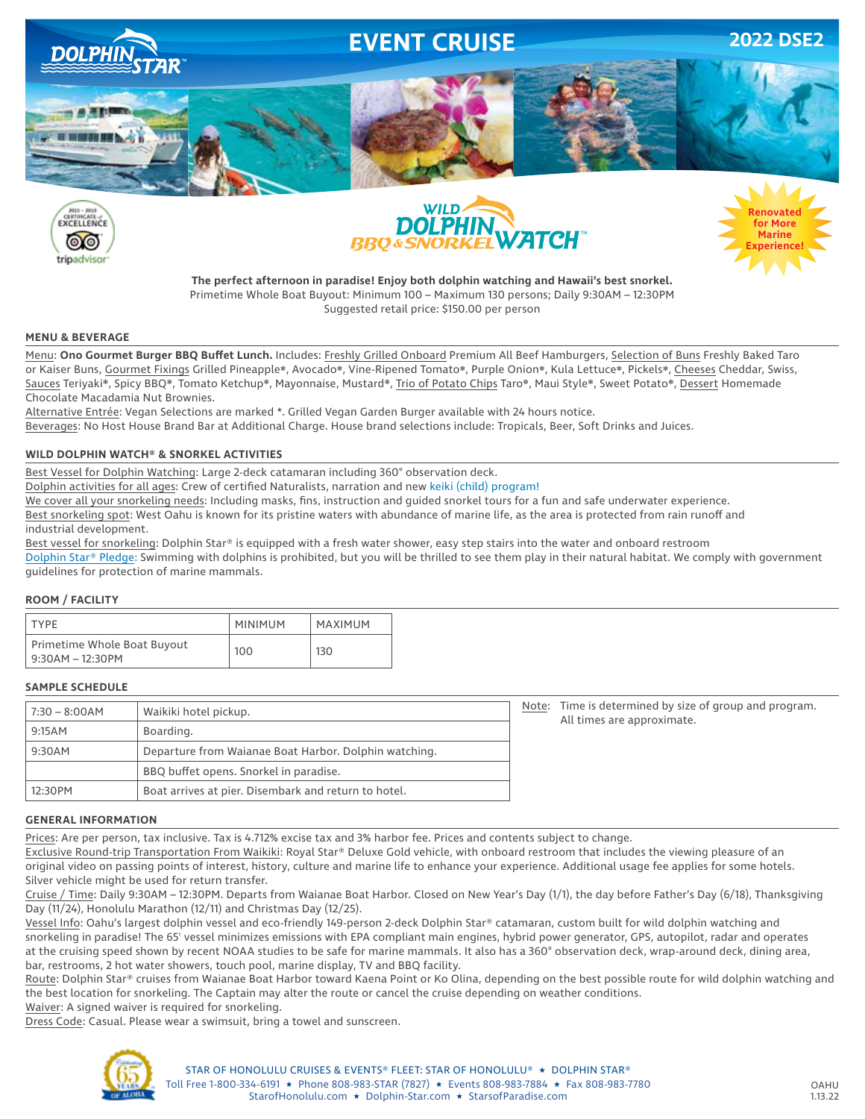







**The perfect afternoon in paradise! Enjoy both dolphin watching and Hawaii's best snorkel.** Primetime Whole Boat Buyout: Minimum 100 – Maximum 130 persons; Daily 9:30AM – 12:30PM Suggested retail price: \$150.00 per person

#### **MENU & BEVERAGE**

Menu: **Ono Gourmet Burger BBQ Buffet Lunch.** Includes: Freshly Grilled Onboard Premium All Beef Hamburgers, Selection of Buns Freshly Baked Taro or Kaiser Buns, Gourmet Fixings Grilled Pineapple❋, Avocado❋, Vine-Ripened Tomato❋, Purple Onion❋, Kula Lettuce❋, Pickels❋, Cheeses Cheddar, Swiss, Sauces Teriyaki❋, Spicy BBQ❋, Tomato Ketchup❋, Mayonnaise, Mustard❋, Trio of Potato Chips Taro❋, Maui Style❋, Sweet Potato❋, Dessert Homemade Chocolate Macadamia Nut Brownies.

Alternative Entrée: Vegan Selections are marked \*. Grilled Vegan Garden Burger available with 24 hours notice. Beverages: No Host House Brand Bar at Additional Charge. House brand selections include: Tropicals, Beer, Soft Drinks and Juices.

### **WILD DOLPHIN WATCH® & SNORKEL ACTIVITIES**

Best Vessel for Dolphin Watching: Large 2-deck catamaran including 360° observation deck.

Dolphin activities for all ages: Crew of certified Naturalists, narration and new keiki (child) program!

We cover all your snorkeling needs: Including masks, fins, instruction and guided snorkel tours for a fun and safe underwater experience.

Best snorkeling spot: West Oahu is known for its pristine waters with abundance of marine life, as the area is protected from rain runoff and industrial development.

Best vessel for snorkeling: Dolphin Star® is equipped with a fresh water shower, easy step stairs into the water and onboard restroom Dolphin Star® Pledge: Swimming with dolphins is prohibited, but you will be thrilled to see them play in their natural habitat. We comply with government guidelines for protection of marine mammals.

### **ROOM / FACILITY**

| <b>TYPF</b>                                     | <b>MINIMUM</b> | MAXIMUM |
|-------------------------------------------------|----------------|---------|
| Primetime Whole Boat Buyout<br>9:30AM – 12:30PM | 100            | 130     |

## **SAMPLE SCHEDULE**

| $7:30 - 8:00AM$ | Waikiki hotel pickup.                                 |
|-----------------|-------------------------------------------------------|
| 9:15AM          | Boarding.                                             |
| 9:30AM          | Departure from Waianae Boat Harbor. Dolphin watching. |
|                 | BBQ buffet opens. Snorkel in paradise.                |
| 12:30PM         | Boat arrives at pier. Disembark and return to hotel.  |

Note: Time is determined by size of group and program. All times are approximate.

#### **GENERAL INFORMATION**

Prices: Are per person, tax inclusive. Tax is 4.712% excise tax and 3% harbor fee. Prices and contents subject to change.

Exclusive Round-trip Transportation From Waikiki: Royal Star® Deluxe Gold vehicle, with onboard restroom that includes the viewing pleasure of an original video on passing points of interest, history, culture and marine life to enhance your experience. Additional usage fee applies for some hotels. Silver vehicle might be used for return transfer.

Cruise / Time: Daily 9:30AM – 12:30PM. Departs from Waianae Boat Harbor. Closed on New Year's Day (1/1), the day before Father's Day (6/18), Thanksgiving Day (11/24), Honolulu Marathon (12/11) and Christmas Day (12/25).

Vessel Info: Oahu's largest dolphin vessel and eco-friendly 149-person 2-deck Dolphin Star® catamaran, custom built for wild dolphin watching and snorkeling in paradise! The 65' vessel minimizes emissions with EPA compliant main engines, hybrid power generator, GPS, autopilot, radar and operates at the cruising speed shown by recent NOAA studies to be safe for marine mammals. It also has a 360° observation deck, wrap-around deck, dining area, bar, restrooms, 2 hot water showers, touch pool, marine display, TV and BBQ facility.

Route: Dolphin Star® cruises from Waianae Boat Harbor toward Kaena Point or Ko Olina, depending on the best possible route for wild dolphin watching and the best location for snorkeling. The Captain may alter the route or cancel the cruise depending on weather conditions.

Waiver: A signed waiver is required for snorkeling.

Dress Code: Casual. Please wear a swimsuit, bring a towel and sunscreen.